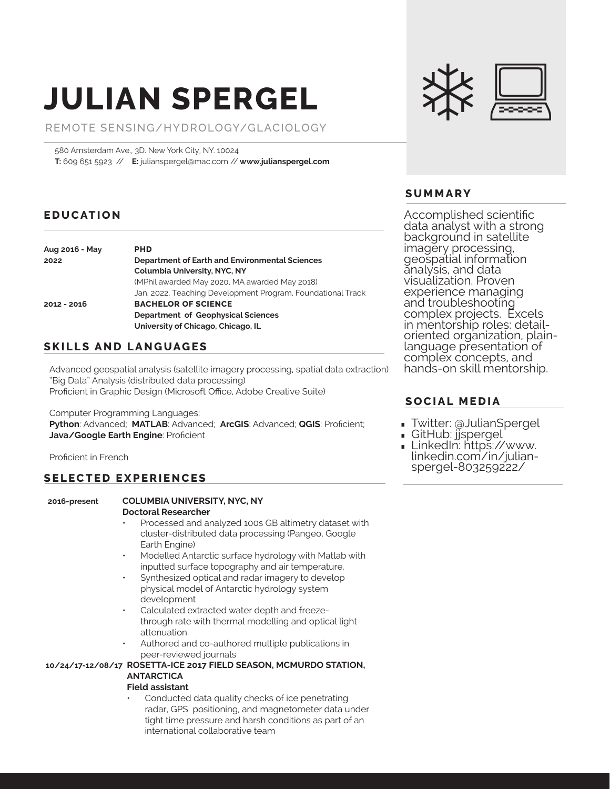# **JULIAN SPERGEL**

REMOTE SENSING/HYDROLOGY/GLACIOLOGY

580 Amsterdam Ave., 3D. New York City, NY. 10024 **T:** 609 651 5923 // **E:** julianspergel@mac.com // **www.julianspergel.com**

### **EDUCATION**

| Aug 2016 - May | <b>PHD</b>                                                               |
|----------------|--------------------------------------------------------------------------|
| 2022           | Department of Earth and Environmental Sciences                           |
|                | <b>Columbia University, NYC, NY</b>                                      |
|                | (MPhil awarded May 2020, MA awarded May 2018)                            |
|                | Jan. 2022, Teaching Development Program, Foundational Track              |
| 2012 - 2016    | <b>BACHELOR OF SCIENCE</b>                                               |
|                | Department of Geophysical Sciences<br>University of Chicago, Chicago, IL |

### **SKILLS AND LANGUAGES**

Advanced geospatial analysis (satellite imagery processing, spatial data extraction) "Big Data" Analysis (distributed data processing) Proficient in Graphic Design (Microsoft Office, Adobe Creative Suite)

Computer Programming Languages:

**Python**: Advanced; **MATLAB**: Advanced; **ArcGIS**: Advanced; **QGIS**: Proficient; **Java/Google Earth Engine**: Proficient

Proficient in French

#### **SELECTED EXPERIENCES**

#### **2016-present COLUMBIA UNIVERSITY, NYC, NY**

## **Doctoral Researcher**

- Processed and analyzed 100s GB altimetry dataset with cluster-distributed data processing (Pangeo, Google Earth Engine)
- Modelled Antarctic surface hydrology with Matlab with inputted surface topography and air temperature.
- Synthesized optical and radar imagery to develop physical model of Antarctic hydrology system development
- Calculated extracted water depth and freezethrough rate with thermal modelling and optical light attenuation.
- Authored and co-authored multiple publications in peer-reviewed journals

#### **ROSETTA-ICE 2017 FIELD SEASON, MCMURDO STATION, 10/24/17-12/08/17 ANTARCTICA**

#### **Field assistant**

Conducted data quality checks of ice penetrating radar, GPS positioning, and magnetometer data under tight time pressure and harsh conditions as part of an international collaborative team

#### **SUMMARY**

Accomplished scientific data analyst with a strong background in satellite imagery processing, geospatial information analysis, and data visualization. Proven experience managing and troubleshooting complex projects. Excels in mentorship roles: detailoriented organization, plainlanguage presentation of complex concepts, and hands-on skill mentorship.

#### **SOCIAL MEDIA**

- **∙** Twitter: @JulianSpergel
- **∙** GitHub: jjspergel
- **∙** LinkedIn: https://www. linkedin.com/in/julianspergel-803259222/